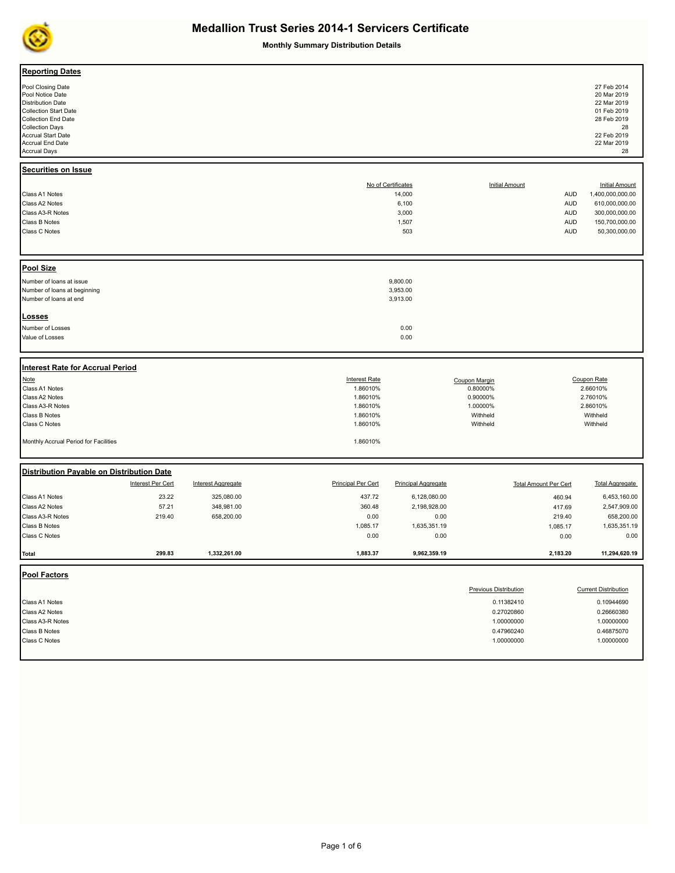

**Monthly Summary Distribution Details**

| <b>Reporting Dates</b><br>Pool Closing Date<br>Pool Notice Date<br><b>Distribution Date</b><br><b>Collection Start Date</b><br><b>Collection End Date</b><br><b>Collection Days</b><br><b>Accrual Start Date</b><br>Accrual End Date<br><b>Accrual Days</b><br>Securities on Issue |                   |                           |                           |                              |                              |                              | 27 Feb 2014<br>20 Mar 2019<br>22 Mar 2019<br>01 Feb 2019<br>28 Feb 2019<br>28<br>22 Feb 2019<br>22 Mar 2019<br>28 |
|------------------------------------------------------------------------------------------------------------------------------------------------------------------------------------------------------------------------------------------------------------------------------------|-------------------|---------------------------|---------------------------|------------------------------|------------------------------|------------------------------|-------------------------------------------------------------------------------------------------------------------|
| Class A1 Notes                                                                                                                                                                                                                                                                     |                   |                           |                           | No of Certificates<br>14,000 | <b>Initial Amount</b>        | <b>AUD</b>                   | <b>Initial Amount</b><br>1,400,000,000.00                                                                         |
| Class A2 Notes                                                                                                                                                                                                                                                                     |                   |                           |                           | 6,100                        |                              | <b>AUD</b>                   | 610,000,000.00                                                                                                    |
| Class A3-R Notes                                                                                                                                                                                                                                                                   |                   |                           |                           | 3,000                        |                              | <b>AUD</b>                   | 300,000,000.00                                                                                                    |
| Class B Notes                                                                                                                                                                                                                                                                      |                   |                           |                           | 1,507                        |                              | <b>AUD</b>                   | 150,700,000.00                                                                                                    |
| Class C Notes                                                                                                                                                                                                                                                                      |                   |                           |                           | 503                          |                              | <b>AUD</b>                   | 50,300,000.00                                                                                                     |
|                                                                                                                                                                                                                                                                                    |                   |                           |                           |                              |                              |                              |                                                                                                                   |
| <b>Pool Size</b>                                                                                                                                                                                                                                                                   |                   |                           |                           |                              |                              |                              |                                                                                                                   |
| Number of loans at issue                                                                                                                                                                                                                                                           |                   |                           |                           | 9,800.00                     |                              |                              |                                                                                                                   |
| Number of loans at beginning                                                                                                                                                                                                                                                       |                   |                           |                           | 3,953.00                     |                              |                              |                                                                                                                   |
| Number of loans at end                                                                                                                                                                                                                                                             |                   |                           |                           | 3,913.00                     |                              |                              |                                                                                                                   |
| Losses                                                                                                                                                                                                                                                                             |                   |                           |                           |                              |                              |                              |                                                                                                                   |
| Number of Losses                                                                                                                                                                                                                                                                   |                   |                           |                           | 0.00                         |                              |                              |                                                                                                                   |
| Value of Losses                                                                                                                                                                                                                                                                    |                   |                           |                           | 0.00                         |                              |                              |                                                                                                                   |
|                                                                                                                                                                                                                                                                                    |                   |                           |                           |                              |                              |                              |                                                                                                                   |
| <b>Interest Rate for Accrual Period</b>                                                                                                                                                                                                                                            |                   |                           |                           |                              |                              |                              |                                                                                                                   |
| <b>Note</b>                                                                                                                                                                                                                                                                        |                   |                           | <b>Interest Rate</b>      |                              | Coupon Margin                |                              | Coupon Rate                                                                                                       |
| Class A1 Notes                                                                                                                                                                                                                                                                     |                   |                           | 1.86010%                  |                              | 0.80000%                     |                              | 2.66010%                                                                                                          |
| Class A2 Notes                                                                                                                                                                                                                                                                     |                   |                           | 1.86010%                  |                              | 0.90000%                     |                              | 2.76010%                                                                                                          |
| Class A3-R Notes                                                                                                                                                                                                                                                                   |                   |                           | 1.86010%                  |                              | 1.00000%                     |                              | 2.86010%                                                                                                          |
| Class B Notes<br>Class C Notes                                                                                                                                                                                                                                                     |                   |                           | 1.86010%<br>1.86010%      |                              | Withheld<br>Withheld         |                              | Withheld<br>Withheld                                                                                              |
|                                                                                                                                                                                                                                                                                    |                   |                           |                           |                              |                              |                              |                                                                                                                   |
| Monthly Accrual Period for Facilities                                                                                                                                                                                                                                              |                   |                           | 1.86010%                  |                              |                              |                              |                                                                                                                   |
| Distribution Payable on Distribution Date                                                                                                                                                                                                                                          |                   |                           |                           |                              |                              |                              |                                                                                                                   |
|                                                                                                                                                                                                                                                                                    | Interest Per Cert | <b>Interest Aggregate</b> | <b>Principal Per Cert</b> | <b>Principal Aggregate</b>   |                              | <b>Total Amount Per Cert</b> | <b>Total Aggregate</b>                                                                                            |
| Class A1 Notes                                                                                                                                                                                                                                                                     | 23.22             | 325,080.00                | 437.72                    | 6,128,080.00                 |                              | 460.94                       | 6,453,160.00                                                                                                      |
| Class A2 Notes                                                                                                                                                                                                                                                                     | 57.21             | 348,981.00                | 360.48                    | 2,198,928.00                 |                              | 417.69                       | 2,547,909.00                                                                                                      |
| Class A3-R Notes                                                                                                                                                                                                                                                                   | 219.40            | 658,200.00                | 0.00                      | 0.00                         |                              | 219.40                       | 658,200.00                                                                                                        |
| Class B Notes                                                                                                                                                                                                                                                                      |                   |                           | 1,085.17                  | 1,635,351.19                 |                              | 1,085.17                     | 1,635,351.19                                                                                                      |
| Class C Notes                                                                                                                                                                                                                                                                      |                   |                           | 0.00                      | 0.00                         |                              | 0.00                         | 0.00                                                                                                              |
| Total                                                                                                                                                                                                                                                                              | 299.83            | 1,332,261.00              | 1,883.37                  | 9,962,359.19                 |                              | 2,183.20                     | 11,294,620.19                                                                                                     |
| <b>Pool Factors</b>                                                                                                                                                                                                                                                                |                   |                           |                           |                              |                              |                              |                                                                                                                   |
|                                                                                                                                                                                                                                                                                    |                   |                           |                           |                              | <b>Previous Distribution</b> |                              | <b>Current Distribution</b>                                                                                       |
| Class A1 Notes                                                                                                                                                                                                                                                                     |                   |                           |                           |                              | 0.11382410                   |                              | 0.10944690                                                                                                        |
| Class A2 Notes                                                                                                                                                                                                                                                                     |                   |                           |                           |                              | 0.27020860                   |                              | 0.26660380                                                                                                        |
| Class A3-R Notes                                                                                                                                                                                                                                                                   |                   |                           |                           |                              | 1.00000000                   |                              | 1.00000000                                                                                                        |
| <b>Class B Notes</b>                                                                                                                                                                                                                                                               |                   |                           |                           |                              | 0.47960240                   |                              | 0.46875070                                                                                                        |
| Class C Notes                                                                                                                                                                                                                                                                      |                   |                           |                           |                              | 1.00000000                   |                              | 1.00000000                                                                                                        |
|                                                                                                                                                                                                                                                                                    |                   |                           |                           |                              |                              |                              |                                                                                                                   |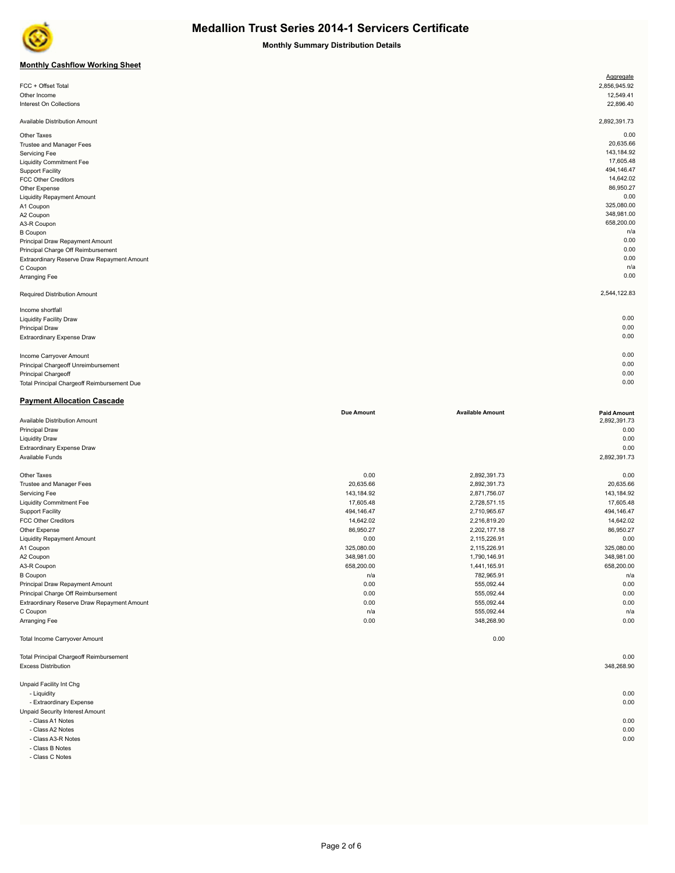

**Monthly Summary Distribution Details**

### **Monthly Cashflow Working Sheet**

|                                             | Aggregate    |
|---------------------------------------------|--------------|
| FCC + Offset Total                          | 2,856,945.92 |
| Other Income                                | 12,549.41    |
| Interest On Collections                     | 22,896.40    |
|                                             |              |
| Available Distribution Amount               | 2,892,391.73 |
| Other Taxes                                 | 0.00         |
| Trustee and Manager Fees                    | 20,635.66    |
| Servicing Fee                               | 143,184.92   |
| <b>Liquidity Commitment Fee</b>             | 17,605.48    |
| <b>Support Facility</b>                     | 494,146.47   |
| <b>FCC Other Creditors</b>                  | 14,642.02    |
| Other Expense                               | 86,950.27    |
| <b>Liquidity Repayment Amount</b>           | 0.00         |
| A1 Coupon                                   | 325,080.00   |
| A2 Coupon                                   | 348,981.00   |
| A3-R Coupon                                 | 658,200.00   |
| <b>B</b> Coupon                             | n/a          |
| Principal Draw Repayment Amount             | 0.00         |
| Principal Charge Off Reimbursement          | 0.00         |
| Extraordinary Reserve Draw Repayment Amount | 0.00         |
| C Coupon                                    | n/a          |
| Arranging Fee                               | 0.00         |
| Required Distribution Amount                | 2,544,122.83 |
| Income shortfall                            |              |
| <b>Liquidity Facility Draw</b>              | 0.00         |
| <b>Principal Draw</b>                       | 0.00         |
| Extraordinary Expense Draw                  | 0.00         |
|                                             |              |
| Income Carryover Amount                     | 0.00         |
| Principal Chargeoff Unreimbursement         | 0.00         |
| <b>Principal Chargeoff</b>                  | 0.00         |

Total Principal Chargeoff Reimbursement Due 0.00

**Payment Allocation Cascade**

|                                                | <b>Due Amount</b> | <b>Available Amount</b> | <b>Paid Amount</b> |
|------------------------------------------------|-------------------|-------------------------|--------------------|
| Available Distribution Amount                  |                   |                         | 2,892,391.73       |
| <b>Principal Draw</b>                          |                   |                         | 0.00               |
| <b>Liquidity Draw</b>                          |                   |                         | 0.00               |
| <b>Extraordinary Expense Draw</b>              |                   |                         | 0.00               |
| Available Funds                                |                   |                         | 2,892,391.73       |
| Other Taxes                                    | 0.00              | 2,892,391.73            | 0.00               |
| Trustee and Manager Fees                       | 20,635.66         | 2,892,391.73            | 20,635.66          |
| Servicing Fee                                  | 143,184.92        | 2,871,756.07            | 143,184.92         |
| <b>Liquidity Commitment Fee</b>                | 17,605.48         | 2,728,571.15            | 17,605.48          |
| <b>Support Facility</b>                        | 494,146.47        | 2,710,965.67            | 494,146.47         |
| <b>FCC Other Creditors</b>                     | 14.642.02         | 2,216,819.20            | 14,642.02          |
| Other Expense                                  | 86,950.27         | 2,202,177.18            | 86,950.27          |
| <b>Liquidity Repayment Amount</b>              | 0.00              | 2,115,226.91            | 0.00               |
| A1 Coupon                                      | 325,080.00        | 2,115,226.91            | 325,080.00         |
| A2 Coupon                                      | 348,981.00        | 1,790,146.91            | 348,981.00         |
| A3-R Coupon                                    | 658,200.00        | 1,441,165.91            | 658,200.00         |
| <b>B</b> Coupon                                | n/a               | 782,965.91              | n/a                |
| Principal Draw Repayment Amount                | 0.00              | 555,092.44              | 0.00               |
| Principal Charge Off Reimbursement             | 0.00              | 555,092.44              | 0.00               |
| Extraordinary Reserve Draw Repayment Amount    | 0.00              | 555,092.44              | 0.00               |
| C Coupon                                       | n/a               | 555,092.44              | n/a                |
| Arranging Fee                                  | 0.00              | 348,268.90              | 0.00               |
| <b>Total Income Carryover Amount</b>           |                   | 0.00                    |                    |
| <b>Total Principal Chargeoff Reimbursement</b> |                   |                         | 0.00               |
| <b>Excess Distribution</b>                     |                   |                         | 348,268.90         |
| Unpaid Facility Int Chg                        |                   |                         |                    |
| - Liquidity                                    |                   |                         | 0.00               |

- Extraordinary Expense 0.00 Unpaid Security Interest Amount

- Class A1 Notes 0.00

- Class A2 Notes 0.00

- Class A3-R Notes 0.00

- Class B Notes

- Class C Notes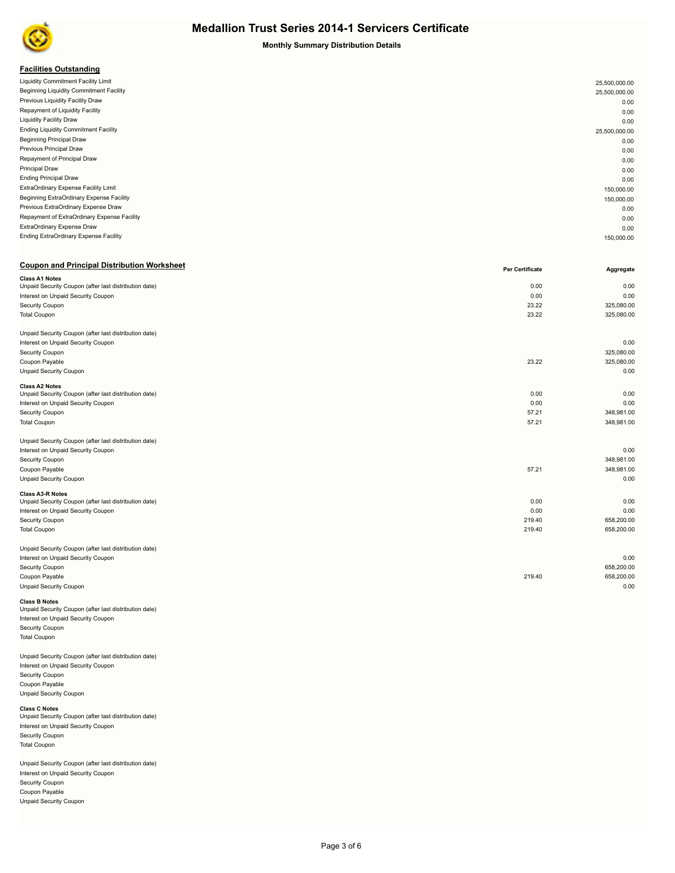

**Monthly Summary Distribution Details**

### **Facilities Outstanding**

| Liquidity Commitment Facility Limit         | 25,500,000.00 |
|---------------------------------------------|---------------|
| Beginning Liquidity Commitment Facility     | 25,500,000.00 |
| Previous Liquidity Facility Draw            | 0.00          |
| Repayment of Liquidity Facility             | 0.00          |
| <b>Liquidity Facility Draw</b>              | 0.00          |
| <b>Ending Liquidity Commitment Facility</b> | 25,500,000.00 |
| <b>Beginning Principal Draw</b>             | 0.00          |
| Previous Principal Draw                     | 0.00          |
| Repayment of Principal Draw                 | 0.00          |
| Principal Draw                              | 0.00          |
| <b>Ending Principal Draw</b>                | 0.00          |
| ExtraOrdinary Expense Facility Limit        | 150,000.00    |
| Beginning ExtraOrdinary Expense Facility    | 150,000.00    |
| Previous ExtraOrdinary Expense Draw         | 0.00          |
| Repayment of ExtraOrdinary Expense Facility | 0.00          |
| ExtraOrdinary Expense Draw                  | 0.00          |
| Ending ExtraOrdinary Expense Facility       | 150,000.00    |
|                                             |               |

### **Coupon and Principal Distribution Worksheet**

|                                                                                | <b>Per Certificate</b> | Aggregate  |
|--------------------------------------------------------------------------------|------------------------|------------|
| <b>Class A1 Notes</b><br>Unpaid Security Coupon (after last distribution date) | 0.00                   | 0.00       |
|                                                                                | 0.00                   | 0.00       |
| Interest on Unpaid Security Coupon                                             |                        |            |
| Security Coupon                                                                | 23.22                  | 325,080.00 |
| <b>Total Coupon</b>                                                            | 23.22                  | 325,080.00 |
| Unpaid Security Coupon (after last distribution date)                          |                        |            |
| Interest on Unpaid Security Coupon                                             |                        | 0.00       |
| Security Coupon                                                                |                        | 325,080.00 |
| Coupon Payable                                                                 | 23.22                  | 325,080.00 |
| Unpaid Security Coupon                                                         |                        | 0.00       |
| <b>Class A2 Notes</b>                                                          |                        |            |
| Unpaid Security Coupon (after last distribution date)                          | 0.00                   | 0.00       |
| Interest on Unpaid Security Coupon                                             | 0.00                   | 0.00       |
| Security Coupon                                                                | 57.21                  | 348,981.00 |
| <b>Total Coupon</b>                                                            | 57.21                  | 348,981.00 |
| Unpaid Security Coupon (after last distribution date)                          |                        |            |
| Interest on Unpaid Security Coupon                                             |                        | 0.00       |
| Security Coupon                                                                |                        | 348,981.00 |
| Coupon Payable                                                                 | 57.21                  | 348,981.00 |
| Unpaid Security Coupon                                                         |                        | 0.00       |
| <b>Class A3-R Notes</b>                                                        |                        |            |
| Unpaid Security Coupon (after last distribution date)                          | 0.00                   | 0.00       |
| Interest on Unpaid Security Coupon                                             | 0.00                   | 0.00       |
| Security Coupon                                                                | 219.40                 | 658,200.00 |
| <b>Total Coupon</b>                                                            | 219.40                 | 658,200.00 |
| Unpaid Security Coupon (after last distribution date)                          |                        |            |
| Interest on Unpaid Security Coupon                                             |                        | 0.00       |
| Security Coupon                                                                |                        | 658,200.00 |
| Coupon Payable                                                                 | 219.40                 | 658,200.00 |
| <b>Unpaid Security Coupon</b>                                                  |                        | 0.00       |
|                                                                                |                        |            |

**Class B Notes**<br>Unpaid Security Coupon (after last distribution date) Interest on Unpaid Security Coupon Security Coupon Total Coupon

Unpaid Security Coupon (after last distribution date) Interest on Unpaid Security Coupon Security Coupon Coupon Payable Unpaid Security Coupon

### **Class C Notes** Unpaid Security Coupon (after last distribution date) Interest on Unpaid Security Coupon Security Coupon Total Coupon

Unpaid Security Coupon (after last distribution date) Interest on Unpaid Security Coupon Security Coupon Coupon Payable Unpaid Security Coupon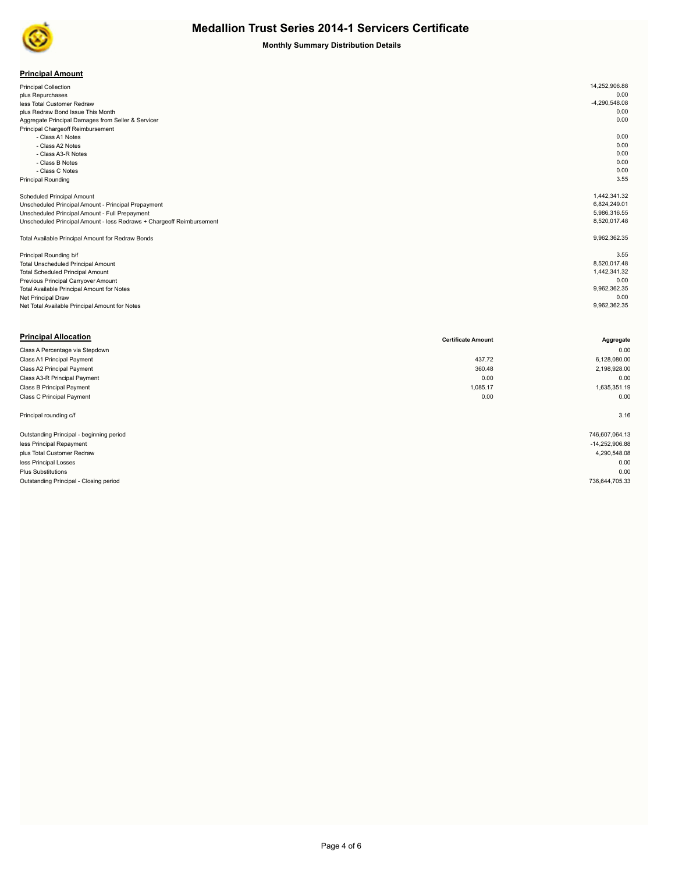

### **Monthly Summary Distribution Details**

| <b>Principal Amount</b> |
|-------------------------|
|-------------------------|

| <b>Principal Collection</b>                                           | 14,252,906.88   |  |
|-----------------------------------------------------------------------|-----------------|--|
| plus Repurchases                                                      | 0.00            |  |
| less Total Customer Redraw                                            | $-4,290,548.08$ |  |
| plus Redraw Bond Issue This Month                                     | 0.00            |  |
| Aggregate Principal Damages from Seller & Servicer                    | 0.00            |  |
| Principal Chargeoff Reimbursement                                     |                 |  |
| - Class A1 Notes                                                      | 0.00            |  |
| - Class A2 Notes                                                      | 0.00            |  |
| - Class A3-R Notes                                                    | 0.00            |  |
| - Class B Notes                                                       | 0.00            |  |
| - Class C Notes                                                       | 0.00            |  |
| <b>Principal Rounding</b>                                             | 3.55            |  |
|                                                                       |                 |  |
| <b>Scheduled Principal Amount</b>                                     | 1,442,341.32    |  |
| Unscheduled Principal Amount - Principal Prepayment                   | 6,824,249.01    |  |
| Unscheduled Principal Amount - Full Prepayment                        | 5,986,316.55    |  |
| Unscheduled Principal Amount - less Redraws + Chargeoff Reimbursement | 8,520,017.48    |  |
|                                                                       |                 |  |
| Total Available Principal Amount for Redraw Bonds                     | 9,962,362.35    |  |
|                                                                       |                 |  |
| Principal Rounding b/f                                                | 3.55            |  |
| <b>Total Unscheduled Principal Amount</b>                             | 8,520,017.48    |  |
| <b>Total Scheduled Principal Amount</b>                               | 1,442,341.32    |  |
| Previous Principal Carryover Amount                                   | 0.00            |  |
| Total Available Principal Amount for Notes                            | 9,962,362.35    |  |
| Net Principal Draw                                                    | 0.00            |  |
| Net Total Available Principal Amount for Notes                        | 9,962,362.35    |  |

| <b>Principal Allocation</b>              | <b>Certificate Amount</b> | Aggregate      |
|------------------------------------------|---------------------------|----------------|
| Class A Percentage via Stepdown          |                           | 0.00           |
| Class A1 Principal Payment               | 437.72                    | 6,128,080.00   |
| Class A2 Principal Payment               | 360.48                    | 2,198,928.00   |
| Class A3-R Principal Payment             | 0.00                      | 0.00           |
| Class B Principal Payment                | 1,085.17                  | 1,635,351.19   |
| Class C Principal Payment                | 0.00                      | 0.00           |
| Principal rounding c/f                   |                           | 3.16           |
| Outstanding Principal - beginning period |                           | 746,607,064.13 |
| less Principal Repayment                 |                           | -14,252,906.88 |
| plus Total Customer Redraw               |                           | 4,290,548.08   |
| less Principal Losses                    |                           | 0.00           |
| <b>Plus Substitutions</b>                |                           | 0.00           |
| Outstanding Principal - Closing period   |                           | 736,644,705.33 |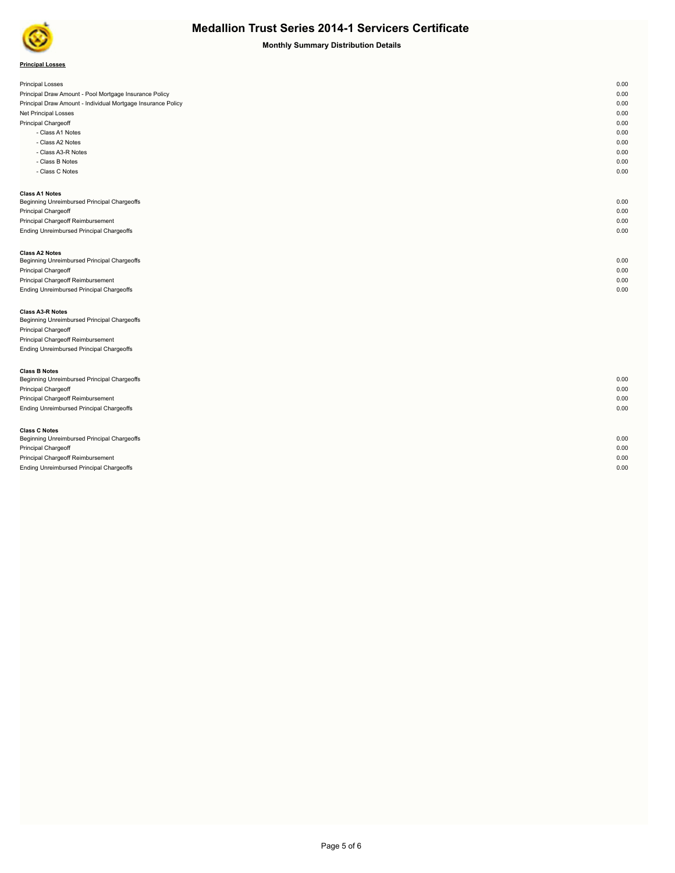

**Monthly Summary Distribution Details**

| <b>Principal Losses</b> |  |  |
|-------------------------|--|--|
|-------------------------|--|--|

| <b>Principal Losses</b>                                      | 0.00 |
|--------------------------------------------------------------|------|
| Principal Draw Amount - Pool Mortgage Insurance Policy       | 0.00 |
| Principal Draw Amount - Individual Mortgage Insurance Policy | 0.00 |
| Net Principal Losses                                         | 0.00 |
| Principal Chargeoff                                          | 0.00 |
| - Class A1 Notes                                             | 0.00 |
| - Class A2 Notes                                             | 0.00 |
| - Class A3-R Notes                                           | 0.00 |
| - Class B Notes                                              | 0.00 |
| - Class C Notes                                              | 0.00 |
|                                                              |      |
| <b>Class A1 Notes</b>                                        |      |
| Beginning Unreimbursed Principal Chargeoffs                  | 0.00 |
| Principal Chargeoff                                          | 0.00 |
| Principal Chargeoff Reimbursement                            | 0.00 |
| Ending Unreimbursed Principal Chargeoffs                     | 0.00 |
|                                                              |      |
| <b>Class A2 Notes</b>                                        |      |
| Beginning Unreimbursed Principal Chargeoffs                  | 0.00 |
| Principal Chargeoff                                          | 0.00 |
| Principal Chargeoff Reimbursement                            | 0.00 |
| <b>Ending Unreimbursed Principal Chargeoffs</b>              | 0.00 |
|                                                              |      |
| <b>Class A3-R Notes</b>                                      |      |
| Beginning Unreimbursed Principal Chargeoffs                  |      |

Principal Chargeoff Principal Chargeoff Reimbursement Ending Unreimbursed Principal Chargeoffs

| <b>Class B Notes</b>                            |      |
|-------------------------------------------------|------|
| Beginning Unreimbursed Principal Chargeoffs     | 0.00 |
| <b>Principal Chargeoff</b>                      | 0.00 |
| Principal Chargeoff Reimbursement               | 0.00 |
| <b>Ending Unreimbursed Principal Chargeoffs</b> | 0.00 |
|                                                 |      |
| <b>Class C Notes</b>                            |      |
| Beginning Unreimbursed Principal Chargeoffs     | 0.00 |
| <b>Principal Chargeoff</b>                      | 0.00 |
| Principal Chargeoff Reimbursement               | 0.00 |
| Ending Unreimbursed Principal Chargeoffs        | 0.00 |